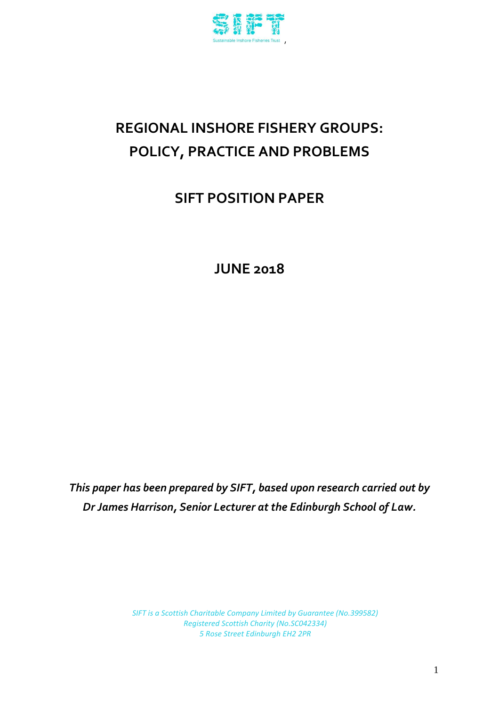

# **REGIONAL INSHORE FISHERY GROUPS: POLICY, PRACTICE AND PROBLEMS**

**SIFT POSITION PAPER**

**JUNE 2018**

*This paper has been prepared by SIFT, based upon research carried out by Dr James Harrison, Senior Lecturer at the Edinburgh School of Law.*

> *SIFT is a Scottish Charitable Company Limited by Guarantee (No.399582) Registered Scottish Charity (No.SC042334) 5 Rose Street Edinburgh EH2 2PR*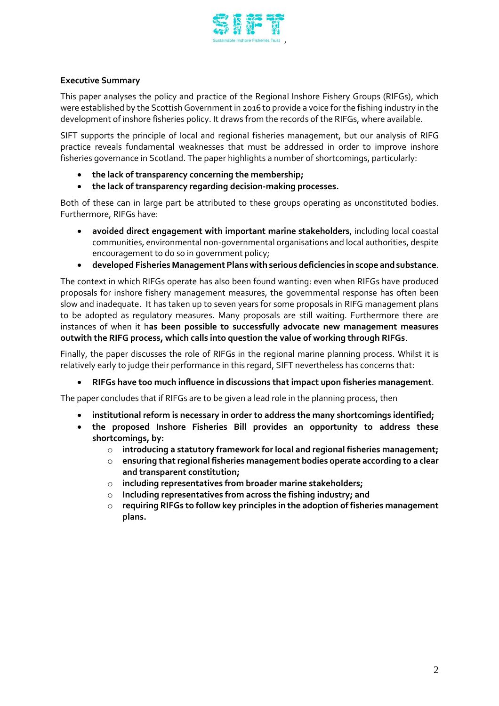

# **Executive Summary**

This paper analyses the policy and practice of the Regional Inshore Fishery Groups (RIFGs), which were established by the Scottish Government in 2016 to provide a voice for the fishing industry in the development of inshore fisheries policy. It draws from the records of the RIFGs, where available.

SIFT supports the principle of local and regional fisheries management, but our analysis of RIFG practice reveals fundamental weaknesses that must be addressed in order to improve inshore fisheries governance in Scotland. The paper highlights a number of shortcomings, particularly:

- **the lack of transparency concerning the membership;**
- **the lack of transparency regarding decision-making processes.**

Both of these can in large part be attributed to these groups operating as unconstituted bodies. Furthermore, RIFGs have:

- **avoided direct engagement with important marine stakeholders**, including local coastal communities, environmental non-governmental organisations and local authorities, despite encouragement to do so in government policy;
- **developed Fisheries Management Plans with serious deficiencies in scope and substance**.

The context in which RIFGs operate has also been found wanting: even when RIFGs have produced proposals for inshore fishery management measures, the governmental response has often been slow and inadequate. It has taken up to seven years for some proposals in RIFG management plans to be adopted as regulatory measures. Many proposals are still waiting. Furthermore there are instances of when it h**as been possible to successfully advocate new management measures outwith the RIFG process, which calls into question the value of working through RIFGs**.

Finally, the paper discusses the role of RIFGs in the regional marine planning process. Whilst it is relatively early to judge their performance in this regard, SIFT nevertheless has concerns that:

**RIFGs have too much influence in discussions that impact upon fisheries management**.

The paper concludes that if RIFGs are to be given a lead role in the planning process, then

- **institutional reform is necessary in order to address the many shortcomings identified;**
- **the proposed Inshore Fisheries Bill provides an opportunity to address these shortcomings, by:**
	- o **introducing a statutory framework for local and regional fisheries management;**
	- o **ensuring that regional fisheries management bodies operate according to a clear and transparent constitution;**
	- o **including representatives from broader marine stakeholders;**
	- o **Including representatives from across the fishing industry; and**
	- o **requiring RIFGs to follow key principles in the adoption of fisheries management plans.**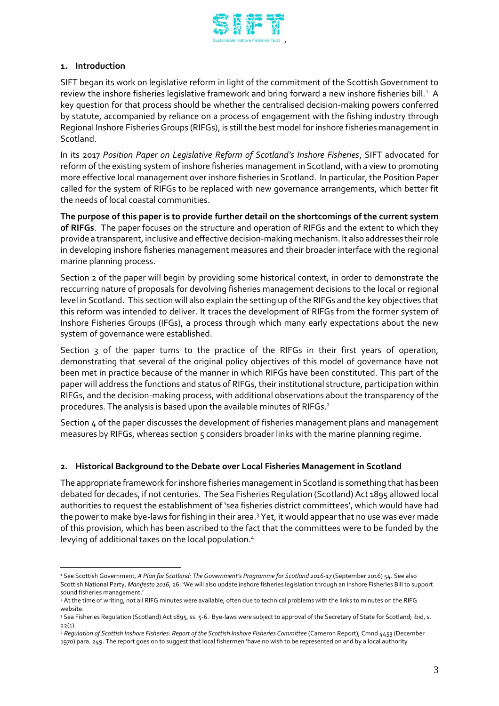

# **1. Introduction**

 $\overline{a}$ 

SIFT began its work on legislative reform in light of the commitment of the Scottish Government to review the inshore fisheries legislative framework and bring forward a new inshore fisheries bill. $^{\rm 1}$  A key question for that process should be whether the centralised decision-making powers conferred by statute, accompanied by reliance on a process of engagement with the fishing industry through Regional Inshore Fisheries Groups (RIFGs), is still the best model for inshore fisheries management in Scotland.

In its 2017 *Position Paper on Legislative Reform of Scotland's Inshore Fisheries*, SIFT advocated for reform of the existing system of inshore fisheries management in Scotland, with a view to promoting more effective local management over inshore fisheries in Scotland. In particular, the Position Paper called for the system of RIFGs to be replaced with new governance arrangements, which better fit the needs of local coastal communities.

**The purpose of this paper is to provide further detail on the shortcomings of the current system of RIFGs**. The paper focuses on the structure and operation of RIFGs and the extent to which they provide a transparent, inclusive and effective decision-making mechanism. It also addresses their role in developing inshore fisheries management measures and their broader interface with the regional marine planning process.

Section 2 of the paper will begin by providing some historical context, in order to demonstrate the reccurring nature of proposals for devolving fisheries management decisions to the local or regional level in Scotland. This section will also explain the setting up of the RIFGs and the key objectives that this reform was intended to deliver. It traces the development of RIFGs from the former system of Inshore Fisheries Groups (IFGs), a process through which many early expectations about the new system of governance were established.

Section 3 of the paper turns to the practice of the RIFGs in their first years of operation, demonstrating that several of the original policy objectives of this model of governance have not been met in practice because of the manner in which RIFGs have been constituted. This part of the paper will address the functions and status of RIFGs, their institutional structure, participation within RIFGs, and the decision-making process, with additional observations about the transparency of the procedures. The analysis is based upon the available minutes of RIFGs. $^2$ 

Section  $\mu$  of the paper discusses the development of fisheries management plans and management measures by RIFGs, whereas section 5 considers broader links with the marine planning regime.

# **2. Historical Background to the Debate over Local Fisheries Management in Scotland**

The appropriate framework for inshore fisheries management in Scotland is something that has been debated for decades, if not centuries. The Sea Fisheries Regulation (Scotland) Act 1895 allowed local authorities to request the establishment of 'sea fisheries district committees', which would have had the power to make bye-laws for fishing in their area.<sup>3</sup> Yet, it would appear that no use was ever made of this provision, which has been ascribed to the fact that the committees were to be funded by the levying of additional taxes on the local population.<sup>4</sup>

<sup>1</sup> See Scottish Government, *A Plan for Scotland: The Government's Programme for Scotland 2016-17* (September 2016) 54. See also Scottish National Party, *Manifesto 2016*, 26: 'We will also update inshore fisheries legislation through an Inshore Fisheries Bill to support sound fisheries management.'

<sup>&</sup>lt;sup>2</sup> At the time of writing, not all RIFG minutes were available, often due to technical problems with the links to minutes on the RIFG website.

<sup>&</sup>lt;sup>3</sup> Sea Fisheries Regulation (Scotland) Act 1895, ss. 5-6. Bye-laws were subject to approval of the Secretary of State for Scotland; ibid, s.  $22(1)$ .

<sup>4</sup> *Regulation of Scottish Inshore Fisheries: Report of the Scottish Inshore Fisheries Committee* (Cameron Report), Cmnd 4453 (December 1970) para. 249. The report goes on to suggest that local fishermen 'have no wish to be represented on and by a local authority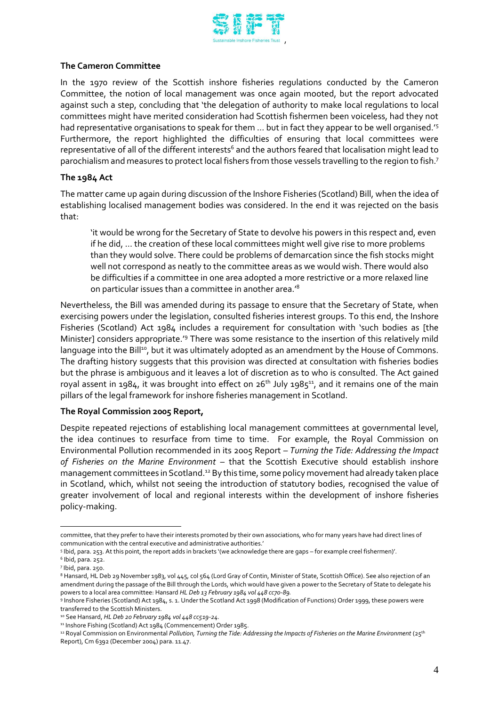

## **The Cameron Committee**

In the 1970 review of the Scottish inshore fisheries regulations conducted by the Cameron Committee, the notion of local management was once again mooted, but the report advocated against such a step, concluding that 'the delegation of authority to make local regulations to local committees might have merited consideration had Scottish fishermen been voiceless, had they not had representative organisations to speak for them … but in fact they appear to be well organised.'<sup>5</sup> Furthermore, the report highlighted the difficulties of ensuring that local committees were representative of all of the different interests<sup>6</sup> and the authors feared that localisation might lead to parochialism and measures to protect local fishers from those vessels travelling to the region to fish.<sup>7</sup>

## **The 1984 Act**

The matter came up again during discussion of the Inshore Fisheries (Scotland) Bill, when the idea of establishing localised management bodies was considered. In the end it was rejected on the basis that:

'it would be wrong for the Secretary of State to devolve his powers in this respect and, even if he did, … the creation of these local committees might well give rise to more problems than they would solve. There could be problems of demarcation since the fish stocks might well not correspond as neatly to the committee areas as we would wish. There would also be difficulties if a committee in one area adopted a more restrictive or a more relaxed line on particular issues than a committee in another area.'<sup>8</sup>

Nevertheless, the Bill was amended during its passage to ensure that the Secretary of State, when exercising powers under the legislation, consulted fisheries interest groups. To this end, the Inshore Fisheries (Scotland) Act 1984 includes a requirement for consultation with 'such bodies as [the Minister] considers appropriate.'<sup>9</sup> There was some resistance to the insertion of this relatively mild language into the Bill<sup>10</sup>, but it was ultimately adopted as an amendment by the House of Commons. The drafting history suggests that this provision was directed at consultation with fisheries bodies but the phrase is ambiguous and it leaves a lot of discretion as to who is consulted. The Act gained royal assent in 1984, it was brought into effect on 26<sup>th</sup> July 1985 $^{\rm 11}$ , and it remains one of the main pillars of the legal framework for inshore fisheries management in Scotland.

# **The Royal Commission 2005 Report,**

Despite repeated rejections of establishing local management committees at governmental level, the idea continues to resurface from time to time. For example, the Royal Commission on Environmental Pollution recommended in its 2005 Report – *Turning the Tide: Addressing the Impact of Fisheries on the Marine Environment* – that the Scottish Executive should establish inshore management committees in Scotland.<sup>12</sup> By this time, some policy movement had already taken place in Scotland, which, whilst not seeing the introduction of statutory bodies, recognised the value of greater involvement of local and regional interests within the development of inshore fisheries policy-making.

 $\overline{a}$ committee, that they prefer to have their interests promoted by their own associations, who for many years have had direct lines of communication with the central executive and administrative authorities.'

<sup>5</sup> Ibid, para. 253. At this point, the report adds in brackets '(we acknowledge there are gaps – for example creel fishermen)'.

<sup>6</sup> Ibid, para. 252.

<sup>7</sup> Ibid, para. 250.

<sup>8</sup> Hansard, HL Deb 29 November 1983, vol 445, col 564 (Lord Gray of Contin, Minister of State, Scottish Office). See also rejection of an amendment during the passage of the Bill through the Lords, which would have given a power to the Secretary of State to delegate his powers to a local area committee: Hansard *HL Deb 13 February 1984 vol 448 cc70-89.*

<sup>9</sup> Inshore Fisheries (Scotland) Act 1984, s. 1. Under the Scotland Act 1998 (Modification of Functions) Order 1999, these powers were transferred to the Scottish Ministers.

<sup>10</sup> See Hansard, *HL Deb 20 February 1984 vol 448 cc519-24.*

<sup>11</sup> Inshore Fishing (Scotland) Act 1984 (Commencement) Order 1985.

<sup>&</sup>lt;sup>12</sup> Royal Commission on Environmental *Pollution, Turning the Tide: Addressing the Impacts of Fisheries on the Marine Environment (25<sup>th</sup>)* Report), Cm 6392 (December 2004) para. 11.47.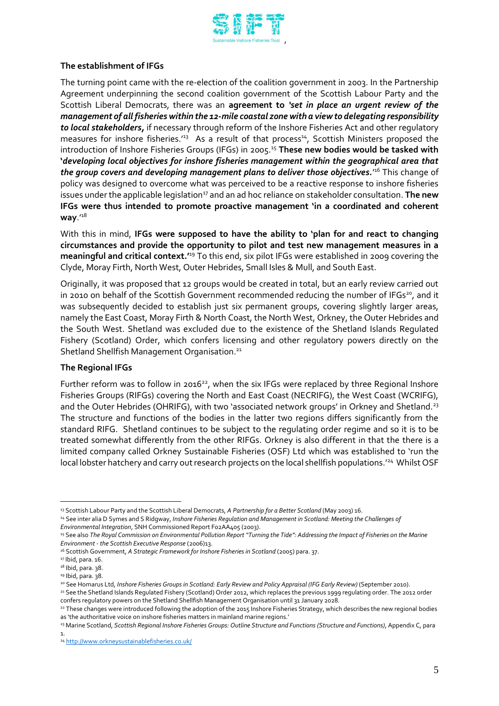

## **The establishment of IFGs**

The turning point came with the re-election of the coalition government in 2003. In the Partnership Agreement underpinning the second coalition government of the Scottish Labour Party and the Scottish Liberal Democrats, there was an **agreement to** *'set in place an urgent review of the management of all fisheries within the 12-mile coastal zone with a view to delegating responsibility to local stakeholders,* if necessary through reform of the Inshore Fisheries Act and other regulatory measures for inshore fisheries.<sup>13</sup> As a result of that process<sup>14</sup>, Scottish Ministers proposed the introduction of Inshore Fisheries Groups (IFGs) in 2005. <sup>15</sup> **These new bodies would be tasked with '***developing local objectives for inshore fisheries management within the geographical area that*  **the group covers and developing management plans to deliver those objectives.'<sup>16</sup> This change of** policy was designed to overcome what was perceived to be a reactive response to inshore fisheries issues under the applicable legislation<sup>17</sup> and an ad hoc reliance on stakeholder consultation. **The new IFGs were thus intended to promote proactive management 'in a coordinated and coherent way**.'<sup>18</sup>

With this in mind, **IFGs were supposed to have the ability to 'plan for and react to changing circumstances and provide the opportunity to pilot and test new management measures in a meaningful and critical context.'**<sup>19</sup> To this end, six pilot IFGs were established in 2009 covering the Clyde, Moray Firth, North West, Outer Hebrides, Small Isles & Mull, and South East.

Originally, it was proposed that 12 groups would be created in total, but an early review carried out in 2010 on behalf of the Scottish Government recommended reducing the number of IFGs<sup>20</sup>, and it was subsequently decided to establish just six permanent groups, covering slightly larger areas, namely the East Coast, Moray Firth & North Coast, the North West, Orkney, the Outer Hebrides and the South West. Shetland was excluded due to the existence of the Shetland Islands Regulated Fishery (Scotland) Order, which confers licensing and other regulatory powers directly on the Shetland Shellfish Management Organisation.<sup>21</sup>

#### **The Regional IFGs**

Further reform was to follow in 2016<sup>22</sup>, when the six IFGs were replaced by three Regional Inshore Fisheries Groups (RIFGs) covering the North and East Coast (NECRIFG), the West Coast (WCRIFG), and the Outer Hebrides (OHRIFG), with two 'associated network groups' in Orkney and Shetland.<sup>23</sup> The structure and functions of the bodies in the latter two regions differs significantly from the standard RIFG. Shetland continues to be subject to the regulating order regime and so it is to be treated somewhat differently from the other RIFGs. Orkney is also different in that the there is a limited company called Orkney Sustainable Fisheries (OSF) Ltd which was established to 'run the local lobster hatchery and carry out research projects on the local shellfish populations.'<sup>24</sup> Whilst OSF

 $\overline{a}$ <sup>13</sup> Scottish Labour Party and the Scottish Liberal Democrats, *A Partnership for a Better Scotland* (May 2003) 16.

<sup>14</sup> See inter alia D Symes and S Ridgway, *Inshore Fisheries Regulation and Management in Scotland: Meeting the Challenges of* 

*Environmental Integration*, SNH Commissioned Report F02AA405 (2003).

<sup>&</sup>lt;sup>15</sup> See also The Royal Commission on Environmental Pollution Report "Turning the Tide": Addressing the Impact of Fisheries on the Marine *Environment - the Scottish Executive Response* (2006)13.

<sup>&</sup>lt;sup>16</sup> Scottish Government, A Strategic Framework for Inshore Fisheries in Scotland (2005) para. 37.

<sup>&</sup>lt;sup>17</sup> Ibid, para. 16.

<sup>&</sup>lt;sup>18</sup> Ibid, para. 38.

<sup>19</sup> Ibid, para. 38.

<sup>20</sup> See Homarus Ltd, *Inshore Fisheries Groups in Scotland: Early Review and Policy Appraisal (IFG Early Review)* (September 2010).

<sup>&</sup>lt;sup>21</sup> See the Shetland Islands Regulated Fishery (Scotland) Order 2012, which replaces the previous 1999 regulating order. The 2012 order confers regulatory powers on the Shetland Shellfish Management Organisation until 31 January 2028.

<sup>22</sup> These changes were introduced following the adoption of the 2015 Inshore Fisheries Strategy, which describes the new regional bodies as 'the authoritative voice on inshore fisheries matters in mainland marine regions.'

<sup>23</sup> Marine Scotland, *Scottish Regional Inshore Fisheries Groups: Outline Structure and Functions (Structure and Functions)*, Appendix C, para 1.

<sup>24</sup> <http://www.orkneysustainablefisheries.co.uk/>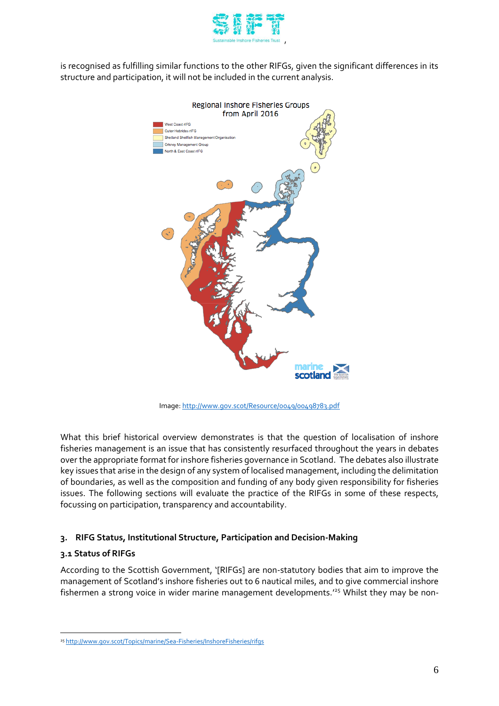

is recognised as fulfilling similar functions to the other RIFGs, given the significant differences in its structure and participation, it will not be included in the current analysis.



Image[: http://www.gov.scot/Resource/0049/00498783.pdf](http://www.gov.scot/Resource/0049/00498783.pdf)

What this brief historical overview demonstrates is that the question of localisation of inshore fisheries management is an issue that has consistently resurfaced throughout the years in debates over the appropriate format for inshore fisheries governance in Scotland. The debates also illustrate key issues that arise in the design of any system of localised management, including the delimitation of boundaries, as well as the composition and funding of any body given responsibility for fisheries issues. The following sections will evaluate the practice of the RIFGs in some of these respects, focussing on participation, transparency and accountability.

# **3. RIFG Status, Institutional Structure, Participation and Decision-Making**

# **3.1 Status of RIFGs**

 $\overline{a}$ 

According to the Scottish Government, '[RIFGs] are non-statutory bodies that aim to improve the management of Scotland's inshore fisheries out to 6 nautical miles, and to give commercial inshore fishermen a strong voice in wider marine management developments.' <sup>25</sup> Whilst they may be non-

<sup>25</sup> <http://www.gov.scot/Topics/marine/Sea-Fisheries/InshoreFisheries/rifgs>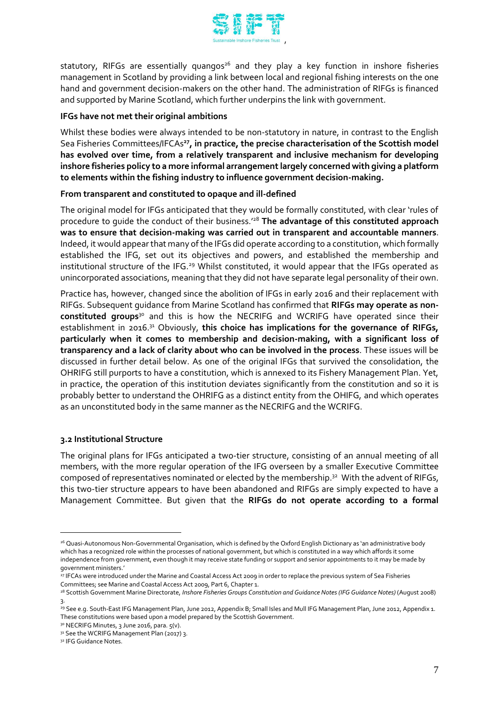

statutory, RIFGs are essentially quangos<sup>26</sup> and they play a key function in inshore fisheries management in Scotland by providing a link between local and regional fishing interests on the one hand and government decision-makers on the other hand. The administration of RIFGs is financed and supported by Marine Scotland, which further underpins the link with government.

## **IFGs have not met their original ambitions**

Whilst these bodies were always intended to be non-statutory in nature, in contrast to the English Sea Fisheries Committees/IFCAs**<sup>27</sup> , in practice, the precise characterisation of the Scottish model has evolved over time, from a relatively transparent and inclusive mechanism for developing inshore fisheries policy to a more informal arrangement largely concerned with giving a platform to elements within the fishing industry to influence government decision-making.**

## **From transparent and constituted to opaque and ill-defined**

The original model for IFGs anticipated that they would be formally constituted, with clear 'rules of procedure to guide the conduct of their business.'<sup>28</sup> **The advantage of this constituted approach was to ensure that decision-making was carried out in transparent and accountable manners**. Indeed, it would appear that many of the IFGs did operate according to a constitution, which formally established the IFG, set out its objectives and powers, and established the membership and institutional structure of the IFG.<sup>29</sup> Whilst constituted, it would appear that the IFGs operated as unincorporated associations, meaning that they did not have separate legal personality of their own.

Practice has, however, changed since the abolition of IFGs in early 2016 and their replacement with RIFGs. Subsequent guidance from Marine Scotland has confirmed that **RIFGs may operate as nonconstituted groups**<sup>30</sup> and this is how the NECRIFG and WCRIFG have operated since their establishment in 2016. <sup>31</sup> Obviously, **this choice has implications for the governance of RIFGs, particularly when it comes to membership and decision-making, with a significant loss of transparency and a lack of clarity about who can be involved in the process**. These issues will be discussed in further detail below. As one of the original IFGs that survived the consolidation, the OHRIFG still purports to have a constitution, which is annexed to its Fishery Management Plan. Yet, in practice, the operation of this institution deviates significantly from the constitution and so it is probably better to understand the OHRIFG as a distinct entity from the OHIFG, and which operates as an unconstituted body in the same manner as the NECRIFG and the WCRIFG.

# **3.2 Institutional Structure**

The original plans for IFGs anticipated a two-tier structure, consisting of an annual meeting of all members, with the more regular operation of the IFG overseen by a smaller Executive Committee composed of representatives nominated or elected by the membership. 32 With the advent of RIFGs, this two-tier structure appears to have been abandoned and RIFGs are simply expected to have a Management Committee. But given that the **RIFGs do not operate according to a formal** 

<sup>26</sup> Quasi-Autonomous Non-Governmental Organisation, which is defined by the Oxford English Dictionary as 'an administrative body which has a recognized role within the processes of national government, but which is constituted in a way which affords it some independence from government, even though it may receive state funding or support and senior appointments to it may be made by government ministers.'

<sup>27</sup> IFCAs were introduced under the Marine and Coastal Access Act 2009 in order to replace the previous system of Sea Fisheries Committees; see Marine and Coastal Access Act 2009, Part 6, Chapter 1.

<sup>28</sup> Scottish Government Marine Directorate, *Inshore Fisheries Groups Constitution and Guidance Notes (IFG Guidance Notes)* (August 2008) 3.

<sup>&</sup>lt;sup>29</sup> See e.g. South-East IFG Management Plan, June 2012, Appendix B; Small Isles and Mull IFG Management Plan, June 2012, Appendix 1. These constitutions were based upon a model prepared by the Scottish Government.

<sup>3</sup>º NECRIFG Minutes, 3 June 2016, para. 5(v).

<sup>31</sup> See the WCRIFG Management Plan (2017) 3.

<sup>&</sup>lt;sup>32</sup> IFG Guidance Notes.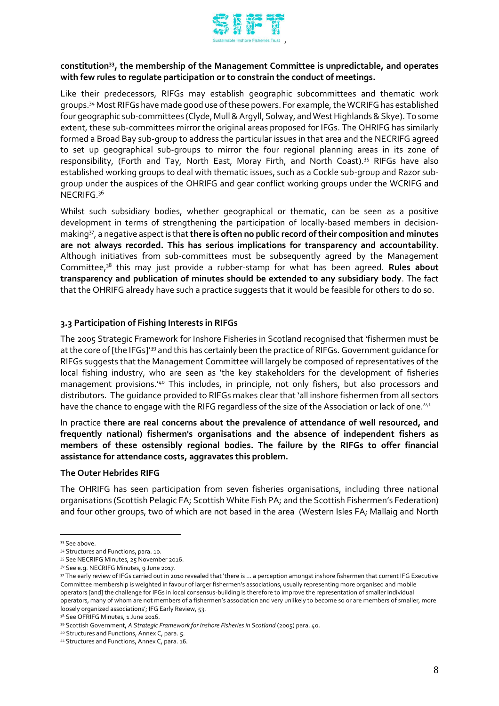

# **constitution<sup>33</sup>, the membership of the Management Committee is unpredictable, and operates with few rules to regulate participation or to constrain the conduct of meetings.**

Like their predecessors, RIFGs may establish geographic subcommittees and thematic work groups.<sup>34</sup> Most RIFGs have made good use of these powers. For example, the WCRIFG has established four geographic sub-committees (Clyde, Mull & Argyll, Solway, and West Highlands & Skye). To some extent, these sub-committees mirror the original areas proposed for IFGs. The OHRIFG has similarly formed a Broad Bay sub-group to address the particular issues in that area and the NECRIFG agreed to set up geographical sub-groups to mirror the four regional planning areas in its zone of responsibility, (Forth and Tay, North East, Moray Firth, and North Coast). <sup>35</sup> RIFGs have also established working groups to deal with thematic issues, such as a Cockle sub-group and Razor subgroup under the auspices of the OHRIFG and gear conflict working groups under the WCRIFG and  $NECRIFG.<sup>36</sup>$ 

Whilst such subsidiary bodies, whether geographical or thematic, can be seen as a positive development in terms of strengthening the participation of locally-based members in decisionmaking<sup>37</sup>, a negative aspect is that **there is often no public record of their composition and minutes are not always recorded. This has serious implications for transparency and accountability**. Although initiatives from sub-committees must be subsequently agreed by the Management Committee,<sup>38</sup> this may just provide a rubber-stamp for what has been agreed. **Rules about transparency and publication of minutes should be extended to any subsidiary body**. The fact that the OHRIFG already have such a practice suggests that it would be feasible for others to do so.

## **3.3 Participation of Fishing Interests in RIFGs**

The 2005 Strategic Framework for Inshore Fisheries in Scotland recognised that 'fishermen must be at the core of [the IFGs]'<sup>39</sup> and this has certainly been the practice of RIFGs. Government guidance for RIFGs suggests that the Management Committee will largely be composed of representatives of the local fishing industry, who are seen as 'the key stakeholders for the development of fisheries management provisions.'<sup>40</sup> This includes, in principle, not only fishers, but also processors and distributors. The guidance provided to RIFGs makes clear that 'all inshore fishermen from all sectors have the chance to engage with the RIFG regardless of the size of the Association or lack of one.'41

In practice **there are real concerns about the prevalence of attendance of well resourced, and frequently national) fishermen's organisations and the absence of independent fishers as members of these ostensibly regional bodies. The failure by the RIFGs to offer financial assistance for attendance costs, aggravates this problem.**

#### **The Outer Hebrides RIFG**

The OHRIFG has seen participation from seven fisheries organisations, including three national organisations (Scottish Pelagic FA; Scottish White Fish PA; and the Scottish Fishermen's Federation) and four other groups, two of which are not based in the area (Western Isles FA; Mallaig and North

<sup>&</sup>lt;sup>33</sup> See above.

<sup>34</sup> Structures and Functions, para. 10.

<sup>35</sup> See NECRIFG Minutes, 25 November 2016.

<sup>&</sup>lt;sup>36</sup> See e.g. NECRIFG Minutes, 9 June 2017.

<sup>37</sup> The early review of IFGs carried out in 2010 revealed that 'there is … a perception amongst inshore fishermen that current IFG Executive Committee membership is weighted in favour of larger fishermen's associations, usually representing more organised and mobile operators [and] the challenge for IFGs in local consensus-building is therefore to improve the representation of smaller individual operators, many of whom are not members of a fishermen's association and very unlikely to become so or are members of smaller, more loosely organized associations'; IFG Early Review, 53.

<sup>38</sup> See OFRIFG Minutes, 1 June 2016.

<sup>39</sup> Scottish Government, A Strategic Framework for Inshore Fisheries in Scotland (2005) para. 40.

<sup>40</sup> Structures and Functions, Annex C, para. 5.

<sup>41</sup> Structures and Functions, Annex C, para. 16.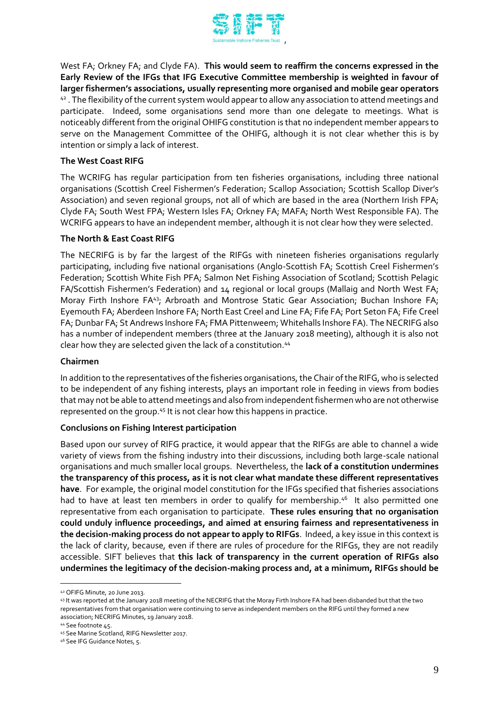

West FA; Orkney FA; and Clyde FA). **This would seem to reaffirm the concerns expressed in the Early Review of the IFGs that IFG Executive Committee membership is weighted in favour of larger fishermen's associations, usually representing more organised and mobile gear operators** 42. The flexibility of the current system would appear to allow any association to attend meetings and participate. Indeed, some organisations send more than one delegate to meetings. What is noticeably different from the original OHIFG constitution is that no independent member appears to serve on the Management Committee of the OHIFG, although it is not clear whether this is by intention or simply a lack of interest.

# **The West Coast RIFG**

The WCRIFG has regular participation from ten fisheries organisations, including three national organisations (Scottish Creel Fishermen's Federation; Scallop Association; Scottish Scallop Diver's Association) and seven regional groups, not all of which are based in the area (Northern Irish FPA; Clyde FA; South West FPA; Western Isles FA; Orkney FA; MAFA; North West Responsible FA). The WCRIFG appears to have an independent member, although it is not clear how they were selected.

#### **The North & East Coast RIFG**

The NECRIFG is by far the largest of the RIFGs with nineteen fisheries organisations regularly participating, including five national organisations (Anglo-Scottish FA; Scottish Creel Fishermen's Federation; Scottish White Fish PFA; Salmon Net Fishing Association of Scotland; Scottish Pelagic FA/Scottish Fishermen's Federation) and 14 regional or local groups (Mallaig and North West FA; Moray Firth Inshore FA<sup>43</sup>; Arbroath and Montrose Static Gear Association; Buchan Inshore FA; Eyemouth FA; Aberdeen Inshore FA; North East Creel and Line FA; Fife FA; Port Seton FA; Fife Creel FA; Dunbar FA; St Andrews Inshore FA; FMA Pittenweem; Whitehalls Inshore FA). The NECRIFG also has a number of independent members (three at the January 2018 meeting), although it is also not clear how they are selected given the lack of a constitution.<sup>44</sup>

#### **Chairmen**

In addition to the representatives of the fisheries organisations, the Chair of the RIFG, who is selected to be independent of any fishing interests, plays an important role in feeding in views from bodies that may not be able to attend meetings and also from independent fishermen who are not otherwise represented on the group.<sup>45</sup> It is not clear how this happens in practice.

#### **Conclusions on Fishing Interest participation**

Based upon our survey of RIFG practice, it would appear that the RIFGs are able to channel a wide variety of views from the fishing industry into their discussions, including both large-scale national organisations and much smaller local groups. Nevertheless, the **lack of a constitution undermines the transparency of this process, as it is not clear what mandate these different representatives have**. For example, the original model constitution for the IFGs specified that fisheries associations had to have at least ten members in order to qualify for membership.<sup>46</sup> It also permitted one representative from each organisation to participate. **These rules ensuring that no organisation could unduly influence proceedings, and aimed at ensuring fairness and representativeness in the decision-making process do not appear to apply to RIFGs**. Indeed, a key issue in this context is the lack of clarity, because, even if there are rules of procedure for the RIFGs, they are not readily accessible. SIFT believes that **this lack of transparency in the current operation of RIFGs also undermines the legitimacy of the decision-making process and, at a minimum, RIFGs should be** 

<sup>42</sup> OFIFG Minute, 20 June 2013.

<sup>43</sup> It was reported at the January 2018 meeting of the NECRIFG that the Moray Firth Inshore FA had been disbanded but that the two representatives from that organisation were continuing to serve as independent members on the RIFG until they formed a new association; NECRIFG Minutes, 19 January 2018.

<sup>44</sup> See footnote 45.

<sup>45</sup> See Marine Scotland, RIFG Newsletter 2017.

<sup>46</sup> See IFG Guidance Notes, 5.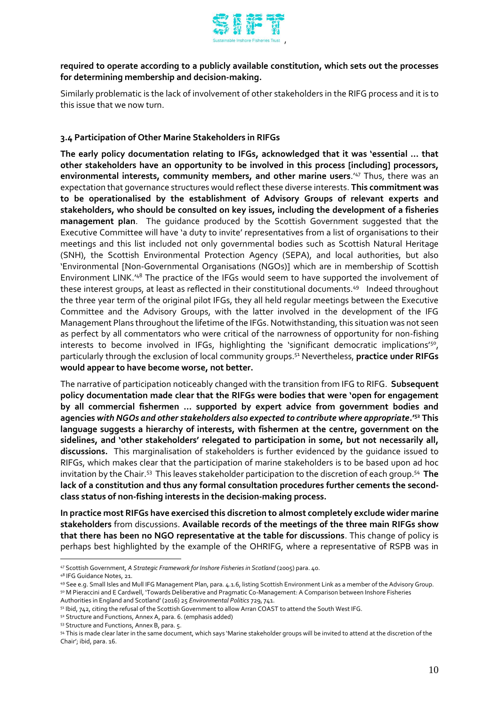

# **required to operate according to a publicly available constitution, which sets out the processes for determining membership and decision-making.**

Similarly problematic is the lack of involvement of other stakeholders in the RIFG process and it is to this issue that we now turn.

# **3.4 Participation of Other Marine Stakeholders in RIFGs**

**The early policy documentation relating to IFGs, acknowledged that it was 'essential … that other stakeholders have an opportunity to be involved in this process [including] processors, environmental interests, community members, and other marine users**.'<sup>47</sup> Thus, there was an expectation that governance structures would reflect these diverse interests. **This commitment was to be operationalised by the establishment of Advisory Groups of relevant experts and stakeholders, who should be consulted on key issues, including the development of a fisheries management plan**. The guidance produced by the Scottish Government suggested that the Executive Committee will have 'a duty to invite' representatives from a list of organisations to their meetings and this list included not only governmental bodies such as Scottish Natural Heritage (SNH), the Scottish Environmental Protection Agency (SEPA), and local authorities, but also 'Environmental [Non-Governmental Organisations (NGOs)] which are in membership of Scottish Environment LINK.'<sup>48</sup> The practice of the IFGs would seem to have supported the involvement of these interest groups, at least as reflected in their constitutional documents.<sup>49</sup> Indeed throughout the three year term of the original pilot IFGs, they all held regular meetings between the Executive Committee and the Advisory Groups, with the latter involved in the development of the IFG Management Plans throughout the lifetime of the IFGs. Notwithstanding, this situation was not seen as perfect by all commentators who were critical of the narrowness of opportunity for non-fishing interests to become involved in IFGs, highlighting the 'significant democratic implications'<sup>50</sup>, particularly through the exclusion of local community groups.<sup>51</sup> Nevertheless, **practice under RIFGs would appear to have become worse, not better.**

The narrative of participation noticeably changed with the transition from IFG to RIFG. **Subsequent policy documentation made clear that the RIFGs were bodies that were 'open for engagement by all commercial fishermen … supported by expert advice from government bodies and agencies** *with NGOs and other stakeholders also expected to contribute where appropriate***.'<sup>52</sup> This language suggests a hierarchy of interests, with fishermen at the centre, government on the sidelines, and 'other stakeholders' relegated to participation in some, but not necessarily all, discussions.** This marginalisation of stakeholders is further evidenced by the guidance issued to RIFGs, which makes clear that the participation of marine stakeholders is to be based upon ad hoc invitation by the Chair.<sup>53</sup> This leaves stakeholder participation to the discretion of each group.<sup>54</sup> The **lack of a constitution and thus any formal consultation procedures further cements the secondclass status of non-fishing interests in the decision-making process.**

**In practice most RIFGs have exercised this discretion to almost completely exclude wider marine stakeholders** from discussions. **Available records of the meetings of the three main RIFGs show that there has been no NGO representative at the table for discussions**. This change of policy is perhaps best highlighted by the example of the OHRIFG, where a representative of RSPB was in

 $\overline{a}$ 

53 Structure and Functions, Annex B, para. 5.

<sup>47</sup> Scottish Government, *A Strategic Framework for Inshore Fisheries in Scotland* (2005) para. 40.

<sup>48</sup> IFG Guidance Notes, 21.

<sup>49</sup> See e.g. Small Isles and Mull IFG Management Plan, para. 4.1.6, listing Scottish Environment Link as a member of the Advisory Group.

<sup>50</sup> M Pieraccini and E Cardwell, 'Towards Deliberative and Pragmatic Co-Management: A Comparison between Inshore Fisheries Authorities in England and Scotland' (2016) 25 *Environmental Politics* 729, 741.

<sup>51</sup> Ibid, 742, citing the refusal of the Scottish Government to allow Arran COAST to attend the South West IFG.

<sup>52</sup> Structure and Functions, Annex A, para. 6. (emphasis added)

<sup>54</sup> This is made clear later in the same document, which says 'Marine stakeholder groups will be invited to attend at the discretion of the Chair'; ibid, para. 16.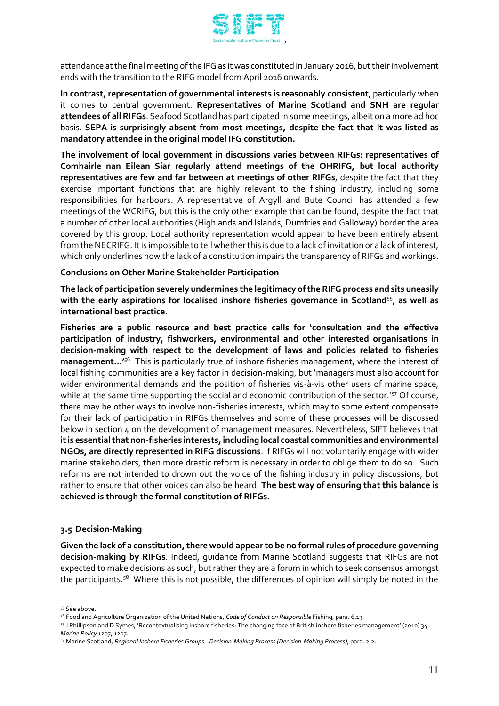

attendance at the final meeting of the IFG as it was constituted in January 2016, but their involvement ends with the transition to the RIFG model from April 2016 onwards.

**In contrast, representation of governmental interests is reasonably consistent**, particularly when it comes to central government. **Representatives of Marine Scotland and SNH are regular attendees of all RIFGs**. Seafood Scotland has participated in some meetings, albeit on a more ad hoc basis. **SEPA is surprisingly absent from most meetings, despite the fact that It was listed as mandatory attendee in the original model IFG constitution.**

**The involvement of local government in discussions varies between RIFGs: representatives of Comhairle nan Eilean Siar regularly attend meetings of the OHRIFG, but local authority representatives are few and far between at meetings of other RIFGs**, despite the fact that they exercise important functions that are highly relevant to the fishing industry, including some responsibilities for harbours. A representative of Argyll and Bute Council has attended a few meetings of the WCRIFG, but this is the only other example that can be found, despite the fact that a number of other local authorities (Highlands and Islands; Dumfries and Galloway) border the area covered by this group. Local authority representation would appear to have been entirely absent from the NECRIFG. It is impossible to tell whether this is due to a lack of invitation or a lack of interest, which only underlines how the lack of a constitution impairs the transparency of RIFGs and workings.

## **Conclusions on Other Marine Stakeholder Participation**

The lack of participation severely undermines the legitimacy of the RIFG process and sits uneasily **with the early aspirations for localised inshore fisheries governance in Scotland**<sup>55</sup> , **as well as international best practice**.

**Fisheries are a public resource and best practice calls for 'consultation and the effective participation of industry, fishworkers, environmental and other interested organisations in decision-making with respect to the development of laws and policies related to fisheries management...'**<sup>56</sup> This is particularly true of inshore fisheries management, where the interest of local fishing communities are a key factor in decision-making, but 'managers must also account for wider environmental demands and the position of fisheries vis-à-vis other users of marine space, while at the same time supporting the social and economic contribution of the sector.'<sup>57</sup> Of course, there may be other ways to involve non-fisheries interests, which may to some extent compensate for their lack of participation in RIFGs themselves and some of these processes will be discussed below in section 4 on the development of management measures. Nevertheless, SIFT believes that **it is essential that non-fisheries interests, including local coastal communities and environmental NGOs, are directly represented in RIFG discussions**. If RIFGs will not voluntarily engage with wider marine stakeholders, then more drastic reform is necessary in order to oblige them to do so. Such reforms are not intended to drown out the voice of the fishing industry in policy discussions, but rather to ensure that other voices can also be heard. **The best way of ensuring that this balance is achieved is through the formal constitution of RIFGs.**

# **3.5 Decision-Making**

**Given the lack of a constitution, there would appear to be no formal rules of procedure governing decision-making by RIFGs**. Indeed, guidance from Marine Scotland suggests that RIFGs are not expected to make decisions as such, but rather they are a forum in which to seek consensus amongst the participants.<sup>58</sup> Where this is not possible, the differences of opinion will simply be noted in the

<sup>55</sup> See above.

<sup>56</sup> Food and Agriculture Organization of the United Nations, *Code of Conduct on Responsible* Fishing, para. 6.13.

<sup>57</sup> J Phillipson and D Symes, 'Recontextualising inshore fisheries: The changing face of British inshore fisheries management' (2010) 34 *Marine Policy* 1207, 1207.

<sup>58</sup> Marine Scotland, *Regional Inshore Fisheries Groups - Decision-Making Process (Decision-Making Process)*, para. 2.2.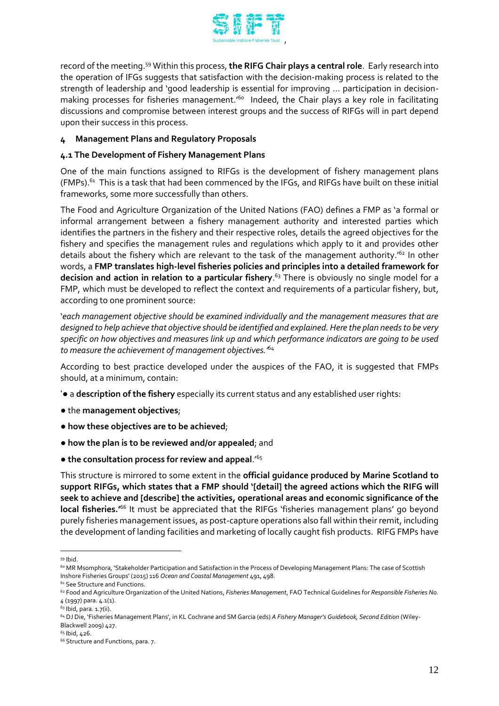

record of the meeting.<sup>59</sup> Within this process, **the RIFG Chair plays a central role**. Early research into the operation of IFGs suggests that satisfaction with the decision-making process is related to the strength of leadership and 'good leadership is essential for improving … participation in decisionmaking processes for fisheries management.'<sup>60</sup> Indeed, the Chair plays a key role in facilitating discussions and compromise between interest groups and the success of RIFGs will in part depend upon their success in this process.

# **4 Management Plans and Regulatory Proposals**

# **4.1 The Development of Fishery Management Plans**

One of the main functions assigned to RIFGs is the development of fishery management plans (FMPs). $^{\rm 61}$  This is a task that had been commenced by the IFGs, and RIFGs have built on these initial frameworks, some more successfully than others.

The Food and Agriculture Organization of the United Nations (FAO) defines a FMP as 'a formal or informal arrangement between a fishery management authority and interested parties which identifies the partners in the fishery and their respective roles, details the agreed objectives for the fishery and specifies the management rules and regulations which apply to it and provides other details about the fishery which are relevant to the task of the management authority.<sup>'62</sup> In other words, a **FMP translates high-level fisheries policies and principles into a detailed framework for decision and action in relation to a particular fishery**. <sup>63</sup> There is obviously no single model for a FMP, which must be developed to reflect the context and requirements of a particular fishery, but, according to one prominent source:

'*each management objective should be examined individually and the management measures that are designed to help achieve that objective should be identified and explained. Here the plan needs to be very specific on how objectives and measures link up and which performance indicators are going to be used to measure the achievement of management objectives.'*<sup>64</sup>

According to best practice developed under the auspices of the FAO, it is suggested that FMPs should, at a minimum, contain:

- '● a **description of the fishery** especially its current status and any established user rights:
- the **management objectives**;
- **how these objectives are to be achieved**;
- **how the plan is to be reviewed and/or appealed**; and
- **the consultation process for review and appeal**.'<sup>65</sup>

This structure is mirrored to some extent in the **official guidance produced by Marine Scotland to support RIFGs, which states that a FMP should '[detail] the agreed actions which the RIFG will seek to achieve and [describe] the activities, operational areas and economic significance of the local fisheries.'**<sup>66</sup> It must be appreciated that the RIFGs 'fisheries management plans' go beyond purely fisheries management issues, as post-capture operations also fall within their remit, including the development of landing facilities and marketing of locally caught fish products. RIFG FMPs have

 $\overline{a}$ <sup>59</sup> Ibid.

<sup>60</sup> MR Msomphora, 'Stakeholder Participation and Satisfaction in the Process of Developing Management Plans: The case of Scottish Inshore Fisheries Groups' (2015) 116 *Ocean and Coastal Management* 491, 498.

<sup>&</sup>lt;sup>61</sup> See Structure and Functions.

<sup>62</sup> Food and Agriculture Organization of the United Nations, *Fisheries Management*, FAO Technical Guidelines for *Responsible Fisheries No. 4* (1997) para. 4.1(1).

<sup>63</sup> Ibid, para. 1.7(ii).

<sup>64</sup> DJ Die, 'Fisheries Management Plans', in KL Cochrane and SM Garcia (eds) *A Fishery Manager's Guidebook, Second Edition* (Wiley-Blackwell 2009) 427.

 $65$  Ibid,  $426$ .

<sup>&</sup>lt;sup>66</sup> Structure and Functions, para. 7.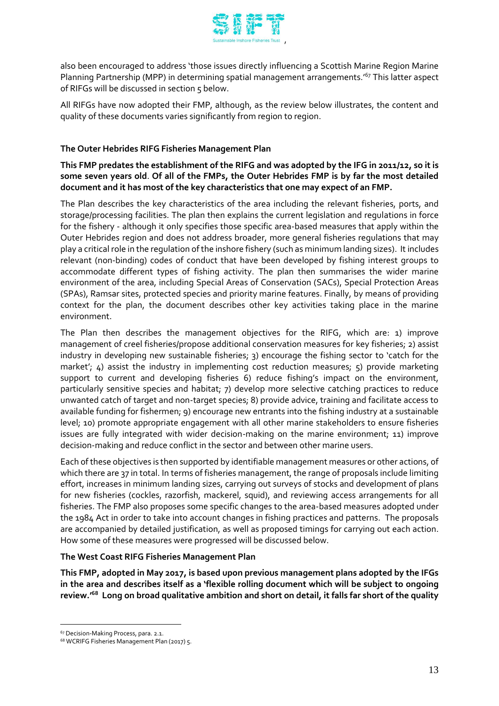

also been encouraged to address 'those issues directly influencing a Scottish Marine Region Marine Planning Partnership (MPP) in determining spatial management arrangements.<sup>167</sup> This latter aspect of RIFGs will be discussed in section 5 below.

All RIFGs have now adopted their FMP, although, as the review below illustrates, the content and quality of these documents varies significantly from region to region.

# **The Outer Hebrides RIFG Fisheries Management Plan**

**This FMP predates the establishment of the RIFG and was adopted by the IFG in 2011/12, so it is some seven years old**. **Of all of the FMPs, the Outer Hebrides FMP is by far the most detailed document and it has most of the key characteristics that one may expect of an FMP.** 

The Plan describes the key characteristics of the area including the relevant fisheries, ports, and storage/processing facilities. The plan then explains the current legislation and regulations in force for the fishery - although it only specifies those specific area-based measures that apply within the Outer Hebrides region and does not address broader, more general fisheries regulations that may play a critical role in the regulation of the inshore fishery (such as minimum landing sizes). It includes relevant (non-binding) codes of conduct that have been developed by fishing interest groups to accommodate different types of fishing activity. The plan then summarises the wider marine environment of the area, including Special Areas of Conservation (SACs), Special Protection Areas (SPAs), Ramsar sites, protected species and priority marine features. Finally, by means of providing context for the plan, the document describes other key activities taking place in the marine environment.

The Plan then describes the management objectives for the RIFG, which are: 1) improve management of creel fisheries/propose additional conservation measures for key fisheries; 2) assist industry in developing new sustainable fisheries; 3) encourage the fishing sector to 'catch for the market'; 4) assist the industry in implementing cost reduction measures; 5) provide marketing support to current and developing fisheries 6) reduce fishing's impact on the environment, particularly sensitive species and habitat; 7) develop more selective catching practices to reduce unwanted catch of target and non-target species; 8) provide advice, training and facilitate access to available funding for fishermen; 9) encourage new entrants into the fishing industry at a sustainable level; 10) promote appropriate engagement with all other marine stakeholders to ensure fisheries issues are fully integrated with wider decision-making on the marine environment; 11) improve decision-making and reduce conflict in the sector and between other marine users.

Each of these objectives is then supported by identifiable management measures or other actions, of which there are 37 in total. In terms of fisheries management, the range of proposals include limiting effort, increases in minimum landing sizes, carrying out surveys of stocks and development of plans for new fisheries (cockles, razorfish, mackerel, squid), and reviewing access arrangements for all fisheries. The FMP also proposes some specific changes to the area-based measures adopted under the 1984 Act in order to take into account changes in fishing practices and patterns. The proposals are accompanied by detailed justification, as well as proposed timings for carrying out each action. How some of these measures were progressed will be discussed below.

# **The West Coast RIFG Fisheries Management Plan**

**This FMP, adopted in May 2017, is based upon previous management plans adopted by the IFGs in the area and describes itself as a 'flexible rolling document which will be subject to ongoing review.' <sup>68</sup> Long on broad qualitative ambition and short on detail, it falls far short of the quality** 

<sup>67</sup> Decision-Making Process, para. 2.1.

<sup>68</sup> WCRIFG Fisheries Management Plan (2017) 5.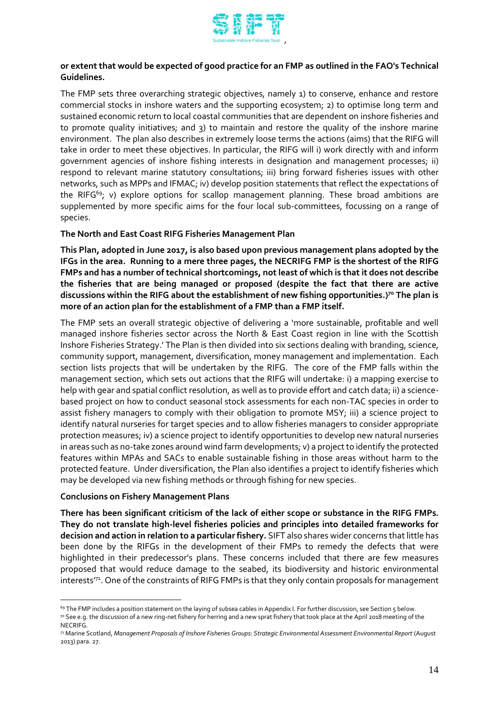

# **or extent that would be expected of good practice for an FMP as outlined in the FAO's Technical Guidelines.**

The FMP sets three overarching strategic objectives, namely 1) to conserve, enhance and restore commercial stocks in inshore waters and the supporting ecosystem; 2) to optimise long term and sustained economic return to local coastal communities that are dependent on inshore fisheries and to promote quality initiatives; and 3) to maintain and restore the quality of the inshore marine environment. The plan also describes in extremely loose terms the actions (aims) that the RIFG will take in order to meet these objectives. In particular, the RIFG will i) work directly with and inform government agencies of inshore fishing interests in designation and management processes; ii) respond to relevant marine statutory consultations; iii) bring forward fisheries issues with other networks, such as MPPs and IFMAC; iv) develop position statements that reflect the expectations of the RIFG<sup>69</sup>; v) explore options for scallop management planning. These broad ambitions are supplemented by more specific aims for the four local sub-committees, focussing on a range of species.

## **The North and East Coast RIFG Fisheries Management Plan**

**This Plan, adopted in June 2017, is also based upon previous management plans adopted by the IFGs in the area. Running to a mere three pages, the NECRIFG FMP is the shortest of the RIFG FMPs and has a number of technical shortcomings, not least of which is that it does not describe the fisheries that are being managed or proposed (despite the fact that there are active discussions within the RIFG about the establishment of new fishing opportunities.) <sup>70</sup> The plan is more of an action plan for the establishment of a FMP than a FMP itself.** 

The FMP sets an overall strategic objective of delivering a 'more sustainable, profitable and well managed inshore fisheries sector across the North & East Coast region in line with the Scottish Inshore Fisheries Strategy.' The Plan is then divided into six sections dealing with branding, science, community support, management, diversification, money management and implementation. Each section lists projects that will be undertaken by the RIFG. The core of the FMP falls within the management section, which sets out actions that the RIFG will undertake: i) a mapping exercise to help with gear and spatial conflict resolution, as well as to provide effort and catch data; ii) a sciencebased project on how to conduct seasonal stock assessments for each non-TAC species in order to assist fishery managers to comply with their obligation to promote MSY; iii) a science project to identify natural nurseries for target species and to allow fisheries managers to consider appropriate protection measures; iv) a science project to identify opportunities to develop new natural nurseries in areas such as no-take zones around wind farm developments; v) a project to identify the protected features within MPAs and SACs to enable sustainable fishing in those areas without harm to the protected feature. Under diversification, the Plan also identifies a project to identify fisheries which may be developed via new fishing methods or through fishing for new species.

#### **Conclusions on Fishery Management Plans**

 $\overline{a}$ 

**There has been significant criticism of the lack of either scope or substance in the RIFG FMPs. They do not translate high-level fisheries policies and principles into detailed frameworks for decision and action in relation to a particular fishery.** SIFT also shares wider concerns that little has been done by the RIFGs in the development of their FMPs to remedy the defects that were highlighted in their predecessor's plans. These concerns included that there are few measures proposed that would reduce damage to the seabed, its biodiversity and historic environmental interests'71. One of the constraints of RIFG FMPs is that they only contain proposals for management

<sup>&</sup>lt;sup>69</sup> The FMP includes a position statement on the laying of subsea cables in Appendix I. For further discussion, see Section 5 below.  $70$  See e.g. the discussion of a new ring-net fishery for herring and a new sprat fishery that took place at the April 2018 meeting of the NECRIFG.

<sup>71</sup> Marine Scotland, *Management Proposals of Inshore Fisheries Groups: Strategic Environmental Assessment Environmental Report* (August 2013) para. 27.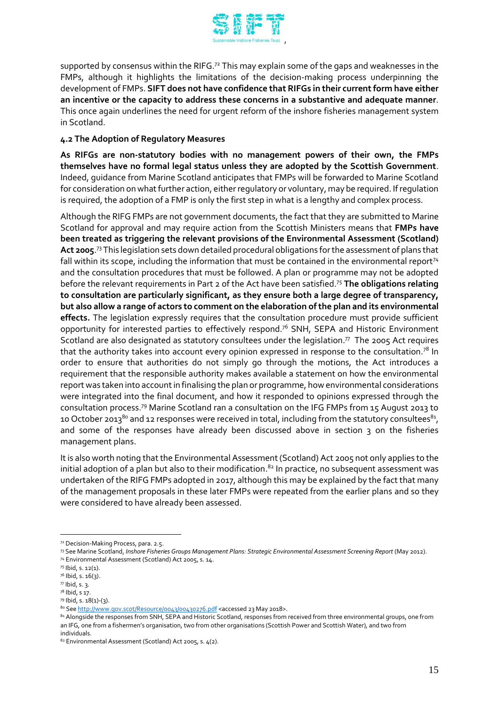

supported by consensus within the RIFG.<sup>72</sup> This may explain some of the gaps and weaknesses in the FMPs, although it highlights the limitations of the decision-making process underpinning the development of FMPs. **SIFT does not have confidence that RIFGs in their current form have either an incentive or the capacity to address these concerns in a substantive and adequate manner**. This once again underlines the need for urgent reform of the inshore fisheries management system in Scotland.

## **4.2 The Adoption of Regulatory Measures**

**As RIFGs are non-statutory bodies with no management powers of their own, the FMPs themselves have no formal legal status unless they are adopted by the Scottish Government**. Indeed, guidance from Marine Scotland anticipates that FMPs will be forwarded to Marine Scotland for consideration on what further action, either regulatory or voluntary, may be required. If regulation is required, the adoption of a FMP is only the first step in what is a lengthy and complex process.

Although the RIFG FMPs are not government documents, the fact that they are submitted to Marine Scotland for approval and may require action from the Scottish Ministers means that **FMPs have been treated as triggering the relevant provisions of the Environmental Assessment (Scotland) Act 2005**. <sup>73</sup> This legislation sets down detailed procedural obligations for the assessment of plans that fall within its scope, including the information that must be contained in the environmental report<sup>74</sup> and the consultation procedures that must be followed. A plan or programme may not be adopted before the relevant requirements in Part 2 of the Act have been satisfied.<sup>75</sup> **The obligations relating to consultation are particularly significant, as they ensure both a large degree of transparency, but also allow a range of actors to comment on the elaboration of the plan and its environmental effects.** The legislation expressly requires that the consultation procedure must provide sufficient opportunity for interested parties to effectively respond.<sup>76</sup> SNH, SEPA and Historic Environment Scotland are also designated as statutory consultees under the legislation. $77$  The 2005 Act requires that the authority takes into account every opinion expressed in response to the consultation.<sup>78</sup> In order to ensure that authorities do not simply go through the motions, the Act introduces a requirement that the responsible authority makes available a statement on how the environmental report was taken into account in finalising the plan or programme, how environmental considerations were integrated into the final document, and how it responded to opinions expressed through the consultation process.<sup>79</sup> Marine Scotland ran a consultation on the IFG FMPs from 15 August 2013 to 10 October 2013 $^{\rm 8o}$  and 12 responses were received in total, including from the statutory consultees $^{\rm 81}$ , and some of the responses have already been discussed above in section 3 on the fisheries management plans.

It is also worth noting that the Environmental Assessment (Scotland) Act 2005 not only applies to the initial adoption of a plan but also to their modification. $^{\rm 82}$  In practice, no subsequent assessment was undertaken of the RIFG FMPs adopted in 2017, although this may be explained by the fact that many of the management proposals in these later FMPs were repeated from the earlier plans and so they were considered to have already been assessed.

<sup>72</sup> Decision-Making Process, para. 2.5.

<sup>73</sup> See Marine Scotland, *Inshore Fisheries Groups Management Plans: Strategic Environmental Assessment Screening Report* (May 2012). <sup>74</sup> Environmental Assessment (Scotland) Act 2005, s. 14.

<sup>75</sup> Ibid, s. 12(1).

<sup>76</sup> Ibid, s. 16(3).

 $77$  Ibid, s. 3.

<sup>78</sup> Ibid, s 17.

<sup>79</sup> Ibid, s. 18(1)-(3).

<sup>80</sup> Se[e http://www.gov.scot/Resource/0043/00430276.pdf](http://www.gov.scot/Resource/0043/00430276.pdf) <accessed 23 May 2018>.

<sup>81</sup> Alongside the responses from SNH, SEPA and Historic Scotland, responses from received from three environmental groups, one from an IFG, one from a fishermen's organisation, two from other organisations (Scottish Power and Scottish Water), and two from individuals.

<sup>82</sup> Environmental Assessment (Scotland) Act 2005, s. 4(2).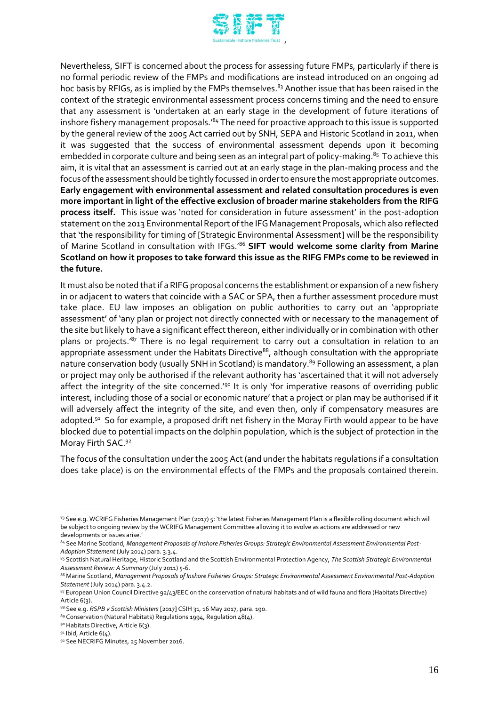

Nevertheless, SIFT is concerned about the process for assessing future FMPs, particularly if there is no formal periodic review of the FMPs and modifications are instead introduced on an ongoing ad hoc basis by RFIGs, as is implied by the FMPs themselves. <sup>83</sup> Another issue that has been raised in the context of the strategic environmental assessment process concerns timing and the need to ensure that any assessment is 'undertaken at an early stage in the development of future iterations of inshore fishery management proposals.'<sup>84</sup> The need for proactive approach to this issue is supported by the general review of the 2005 Act carried out by SNH, SEPA and Historic Scotland in 2011, when it was suggested that the success of environmental assessment depends upon it becoming embedded in corporate culture and being seen as an integral part of policy-making.<sup>85</sup> To achieve this aim, it is vital that an assessment is carried out at an early stage in the plan-making process and the focus of the assessment should be tightly focussed in order to ensure the most appropriate outcomes. **Early engagement with environmental assessment and related consultation procedures is even more important in light of the effective exclusion of broader marine stakeholders from the RIFG process itself.** This issue was 'noted for consideration in future assessment' in the post-adoption statement on the 2013 Environmental Report of the IFG Management Proposals, which also reflected that 'the responsibility for timing of [Strategic Environmental Assessment] will be the responsibility of Marine Scotland in consultation with IFGs.'<sup>86</sup> **SIFT would welcome some clarity from Marine Scotland on how it proposes to take forward this issue as the RIFG FMPs come to be reviewed in the future.**

It must also be noted that if a RIFG proposal concerns the establishment or expansion of a new fishery in or adjacent to waters that coincide with a SAC or SPA, then a further assessment procedure must take place. EU law imposes an obligation on public authorities to carry out an 'appropriate assessment' of 'any plan or project not directly connected with or necessary to the management of the site but likely to have a significant effect thereon, either individually or in combination with other plans or projects.<sup>'87</sup> There is no legal requirement to carry out a consultation in relation to an appropriate assessment under the Habitats Directive<sup>88</sup>, although consultation with the appropriate nature conservation body (usually SNH in Scotland) is mandatory.<sup>89</sup> Following an assessment, a plan or project may only be authorised if the relevant authority has 'ascertained that it will not adversely affect the integrity of the site concerned.<sup>'90</sup> It is only 'for imperative reasons of overriding public interest, including those of a social or economic nature' that a project or plan may be authorised if it will adversely affect the integrity of the site, and even then, only if compensatory measures are adopted.<sup>91</sup> So for example, a proposed drift net fishery in the Moray Firth would appear to be have blocked due to potential impacts on the dolphin population, which is the subject of protection in the Moray Firth SAC.<sup>92</sup>

The focus of the consultation under the 2005 Act (and under the habitats regulations if a consultation does take place) is on the environmental effects of the FMPs and the proposals contained therein.

<sup>83</sup> See e.g. WCRIFG Fisheries Management Plan (2017) 5: 'the latest Fisheries Management Plan is a flexible rolling document which will be subject to ongoing review by the WCRIFG Management Committee allowing it to evolve as actions are addressed or new developments or issues arise.'

<sup>&</sup>lt;sup>84</sup> See Marine Scotland, Management Proposals of Inshore Fisheries Groups: Strategic Environmental Assessment Environmental Post-*Adoption Statement* (July 2014) para. 3.3.4.

<sup>85</sup> Scottish Natural Heritage, Historic Scotland and the Scottish Environmental Protection Agency, *The Scottish Strategic Environmental Assessment Review: A Summary* (July 2011) 5-6.

<sup>86</sup> Marine Scotland, Management Proposals of Inshore Fisheries Groups: Strategic Environmental Assessment Environmental Post-Adoption *Statement* (July 2014) para. 3.4.2.

<sup>87</sup> European Union Council Directive 92/43/EEC on the conservation of natural habitats and of wild fauna and flora (Habitats Directive) Article 6(3).

<sup>88</sup> See e.g. *RSPB v Scottish Ministers* [2017] CSIH 31, 16 May 2017, para. 190.

<sup>&</sup>lt;sup>89</sup> Conservation (Natural Habitats) Regulations 1994, Regulation  $48(4)$ .

<sup>90</sup> Habitats Directive, Article 6(3).

 $91$  Ibid, Article  $6(4)$ .

<sup>92</sup> See NECRIFG Minutes, 25 November 2016.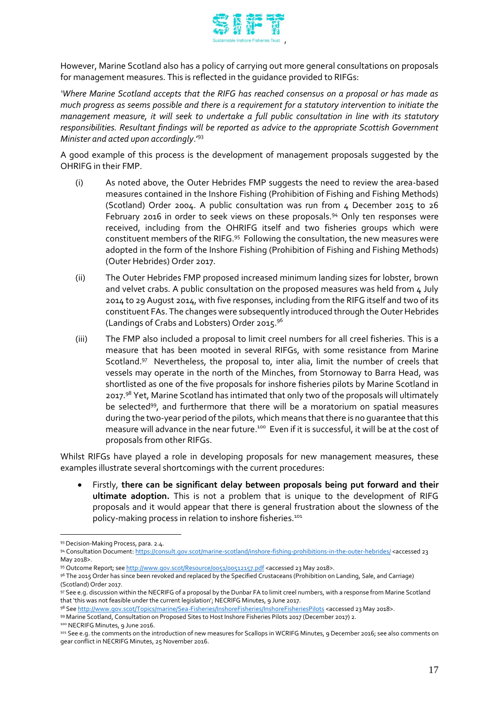

However, Marine Scotland also has a policy of carrying out more general consultations on proposals for management measures. This is reflected in the guidance provided to RIFGs:

*'Where Marine Scotland accepts that the RIFG has reached consensus on a proposal or has made as much progress as seems possible and there is a requirement for a statutory intervention to initiate the management measure, it will seek to undertake a full public consultation in line with its statutory responsibilities. Resultant findings will be reported as advice to the appropriate Scottish Government Minister and acted upon accordingly*.'<sup>93</sup>

A good example of this process is the development of management proposals suggested by the OHRIFG in their FMP.

- (i) As noted above, the Outer Hebrides FMP suggests the need to review the area-based measures contained in the Inshore Fishing (Prohibition of Fishing and Fishing Methods) (Scotland) Order 2004. A public consultation was run from 4 December 2015 to 26 February 2016 in order to seek views on these proposals.<sup>94</sup> Only ten responses were received, including from the OHRIFG itself and two fisheries groups which were constituent members of the RIFG. 95 Following the consultation, the new measures were adopted in the form of the Inshore Fishing (Prohibition of Fishing and Fishing Methods) (Outer Hebrides) Order 2017.
- (ii) The Outer Hebrides FMP proposed increased minimum landing sizes for lobster, brown and velvet crabs. A public consultation on the proposed measures was held from 4 July 2014 to 29 August 2014, with five responses, including from the RIFG itself and two of its constituent FAs. The changes were subsequently introduced through the Outer Hebrides (Landings of Crabs and Lobsters) Order 2015. 96
- (iii) The FMP also included a proposal to limit creel numbers for all creel fisheries. This is a measure that has been mooted in several RIFGs, with some resistance from Marine Scotland.<sup>97</sup> Nevertheless, the proposal to, inter alia, limit the number of creels that vessels may operate in the north of the Minches, from Stornoway to Barra Head, was shortlisted as one of the five proposals for inshore fisheries pilots by Marine Scotland in 2017.<sup>98</sup> Yet, Marine Scotland has intimated that only two of the proposals will ultimately be selected<sup>99</sup>, and furthermore that there will be a moratorium on spatial measures during the two-year period of the pilots, which means that there is no guarantee that this measure will advance in the near future. $^{100}$  Even if it is successful, it will be at the cost of proposals from other RIFGs.

Whilst RIFGs have played a role in developing proposals for new management measures, these examples illustrate several shortcomings with the current procedures:

 Firstly, **there can be significant delay between proposals being put forward and their ultimate adoption.** This is not a problem that is unique to the development of RIFG proposals and it would appear that there is general frustration about the slowness of the policy-making process in relation to inshore fisheries.<sup>101</sup>

 $\overline{a}$ 93 Decision-Making Process, para. 2.4.

<sup>94</sup> Consultation Document[: https://consult.gov.scot/marine-scotland/inshore-fishing-prohibitions-in-the-outer-hebrides/](https://consult.gov.scot/marine-scotland/inshore-fishing-prohibitions-in-the-outer-hebrides/) <accessed 23 May 2018>.

<sup>95</sup> Outcome Report; se[e http://www.gov.scot/Resource/0051/00512157.pdf](http://www.gov.scot/Resource/0051/00512157.pdf) <accessed 23 May 2018>.

<sup>96</sup> The 2015 Order has since been revoked and replaced by the Specified Crustaceans (Prohibition on Landing, Sale, and Carriage) (Scotland) Order 2017.

<sup>97</sup> See e.g. discussion within the NECRIFG of a proposal by the Dunbar FA to limit creel numbers, with a response from Marine Scotland that 'this was not feasible under the current legislation'; NECRIFG Minutes, 9 June 2017.

<sup>98</sup> Se[e http://www.gov.scot/Topics/marine/Sea-Fisheries/InshoreFisheries/InshoreFisheriesPilots](http://www.gov.scot/Topics/marine/Sea-Fisheries/InshoreFisheries/InshoreFisheriesPilots) <accessed 23 May 2018>. 99 Marine Scotland, Consultation on Proposed Sites to Host Inshore Fisheries Pilots 2017 (December 2017) 2.

<sup>100</sup> NECRIFG Minutes, 9 June 2016.

<sup>101</sup> See e.g. the comments on the introduction of new measures for Scallops in WCRIFG Minutes, 9 December 2016; see also comments on gear conflict in NECRIFG Minutes, 25 November 2016.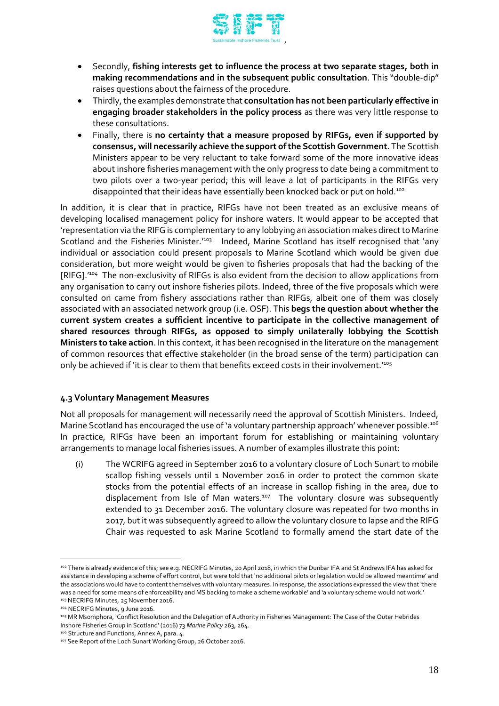

- Secondly, **fishing interests get to influence the process at two separate stages, both in making recommendations and in the subsequent public consultation**. This "double-dip" raises questions about the fairness of the procedure.
- Thirdly, the examples demonstrate that **consultation has not been particularly effective in engaging broader stakeholders in the policy process** as there was very little response to these consultations.
- Finally, there is **no certainty that a measure proposed by RIFGs, even if supported by consensus, will necessarily achieve the support of the Scottish Government**. The Scottish Ministers appear to be very reluctant to take forward some of the more innovative ideas about inshore fisheries management with the only progress to date being a commitment to two pilots over a two-year period; this will leave a lot of participants in the RIFGs very disappointed that their ideas have essentially been knocked back or put on hold. 102

In addition, it is clear that in practice, RIFGs have not been treated as an exclusive means of developing localised management policy for inshore waters. It would appear to be accepted that 'representation via the RIFG is complementary to any lobbying an association makes direct to Marine Scotland and the Fisheries Minister.<sup>1103</sup> Indeed, Marine Scotland has itself recognised that 'any individual or association could present proposals to Marine Scotland which would be given due consideration, but more weight would be given to fisheries proposals that had the backing of the [RIFG].'<sup>104</sup> The non-exclusivity of RIFGs is also evident from the decision to allow applications from any organisation to carry out inshore fisheries pilots. Indeed, three of the five proposals which were consulted on came from fishery associations rather than RIFGs, albeit one of them was closely associated with an associated network group (i.e. OSF). This **begs the question about whether the current system creates a sufficient incentive to participate in the collective management of shared resources through RIFGs, as opposed to simply unilaterally lobbying the Scottish Ministers to take action**. In this context, it has been recognised in the literature on the management of common resources that effective stakeholder (in the broad sense of the term) participation can only be achieved if 'it is clear to them that benefits exceed costs in their involvement.<sup>105</sup>

# **4.3 Voluntary Management Measures**

Not all proposals for management will necessarily need the approval of Scottish Ministers. Indeed, Marine Scotland has encouraged the use of `a voluntary partnership approach' whenever possible.<sup>106</sup> In practice, RIFGs have been an important forum for establishing or maintaining voluntary arrangements to manage local fisheries issues. A number of examples illustrate this point:

(i) The WCRIFG agreed in September 2016 to a voluntary closure of Loch Sunart to mobile scallop fishing vessels until 1 November 2016 in order to protect the common skate stocks from the potential effects of an increase in scallop fishing in the area, due to displacement from Isle of Man waters.<sup>107</sup> The voluntary closure was subsequently extended to 31 December 2016. The voluntary closure was repeated for two months in 2017, but it was subsequently agreed to allow the voluntary closure to lapse and the RIFG Chair was requested to ask Marine Scotland to formally amend the start date of the

<sup>102</sup> There is already evidence of this; see e.g. NECRIFG Minutes, 20 April 2018, in which the Dunbar IFA and St Andrews IFA has asked for assistance in developing a scheme of effort control, but were told that 'no additional pilots or legislation would be allowed meantime' and the associations would have to content themselves with voluntary measures. In response, the associations expressed the view that 'there was a need for some means of enforceability and MS backing to make a scheme workable' and 'a voluntary scheme would not work.' 103 NECRIFG Minutes, 25 November 2016.

<sup>104</sup> NECRIFG Minutes, 9 June 2016.

<sup>105</sup> MR Msomphora, 'Conflict Resolution and the Delegation of Authority in Fisheries Management: The Case of the Outer Hebrides Inshore Fisheries Group in Scotland' (2016) 73 *Marine Policy* 263, 264.

<sup>106</sup> Structure and Functions, Annex A, para. 4.

<sup>107</sup> See Report of the Loch Sunart Working Group, 26 October 2016.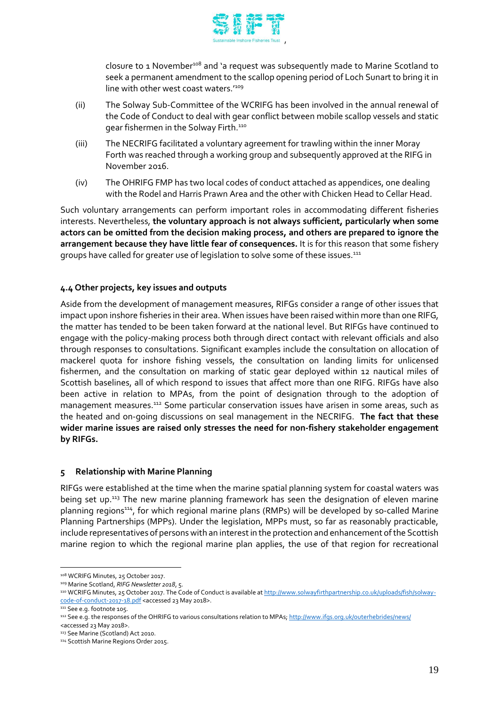

closure to 1 November<sup>108</sup> and 'a request was subsequently made to Marine Scotland to seek a permanent amendment to the scallop opening period of Loch Sunart to bring it in line with other west coast waters.<sup>'109</sup>

- (ii) The Solway Sub-Committee of the WCRIFG has been involved in the annual renewal of the Code of Conduct to deal with gear conflict between mobile scallop vessels and static gear fishermen in the Solway Firth.<sup>110</sup>
- (iii) The NECRIFG facilitated a voluntary agreement for trawling within the inner Moray Forth was reached through a working group and subsequently approved at the RIFG in November 2016.
- (iv) The OHRIFG FMP has two local codes of conduct attached as appendices, one dealing with the Rodel and Harris Prawn Area and the other with Chicken Head to Cellar Head.

Such voluntary arrangements can perform important roles in accommodating different fisheries interests. Nevertheless, **the voluntary approach is not always sufficient, particularly when some actors can be omitted from the decision making process, and others are prepared to ignore the arrangement because they have little fear of consequences.** It is for this reason that some fishery groups have called for greater use of legislation to solve some of these issues.<sup>111</sup>

# **4.4 Other projects, key issues and outputs**

Aside from the development of management measures, RIFGs consider a range of other issues that impact upon inshore fisheries in their area. When issues have been raised within more than one RIFG, the matter has tended to be been taken forward at the national level. But RIFGs have continued to engage with the policy-making process both through direct contact with relevant officials and also through responses to consultations. Significant examples include the consultation on allocation of mackerel quota for inshore fishing vessels, the consultation on landing limits for unlicensed fishermen, and the consultation on marking of static gear deployed within 12 nautical miles of Scottish baselines, all of which respond to issues that affect more than one RIFG. RIFGs have also been active in relation to MPAs, from the point of designation through to the adoption of management measures.<sup>112</sup> Some particular conservation issues have arisen in some areas, such as the heated and on-going discussions on seal management in the NECRIFG. **The fact that these wider marine issues are raised only stresses the need for non-fishery stakeholder engagement by RIFGs.**

# **5 Relationship with Marine Planning**

RIFGs were established at the time when the marine spatial planning system for coastal waters was being set up.<sup>113</sup> The new marine planning framework has seen the designation of eleven marine planning regions<sup>114</sup>, for which regional marine plans (RMPs) will be developed by so-called Marine Planning Partnerships (MPPs). Under the legislation, MPPs must, so far as reasonably practicable, include representatives of persons with an interest in the protection and enhancement of the Scottish marine region to which the regional marine plan applies, the use of that region for recreational

<sup>108</sup> WCRIFG Minutes, 25 October 2017.

<sup>109</sup> Marine Scotland, *RIFG Newsletter 2018*, 5.

<sup>110</sup> WCRIFG Minutes, 25 October 2017. The Code of Conduct is available a[t http://www.solwayfirthpartnership.co.uk/uploads/fish/solway](http://www.solwayfirthpartnership.co.uk/uploads/fish/solway-code-of-conduct-2017-18.pdf)[code-of-conduct-2017-18.pdf](http://www.solwayfirthpartnership.co.uk/uploads/fish/solway-code-of-conduct-2017-18.pdf) <accessed 23 May 2018>.

<sup>111</sup> See e.g. footnote 105.

<sup>112</sup> See e.g. the responses of the OHRIFG to various consultations relation to MPAs[; http://www.ifgs.org.uk/outerhebrides/news/](http://www.ifgs.org.uk/outerhebrides/news/) <accessed 23 May 2018>.

<sup>113</sup> See Marine (Scotland) Act 2010.

<sup>114</sup> Scottish Marine Regions Order 2015.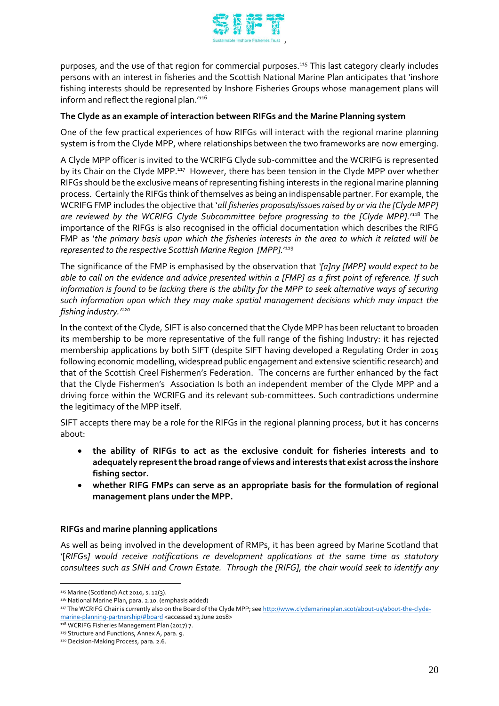

purposes, and the use of that region for commercial purposes.<sup>115</sup> This last category clearly includes persons with an interest in fisheries and the Scottish National Marine Plan anticipates that 'inshore fishing interests should be represented by Inshore Fisheries Groups whose management plans will inform and reflect the regional plan. $^{\prime^{116}}$ 

# **The Clyde as an example of interaction between RIFGs and the Marine Planning system**

One of the few practical experiences of how RIFGs will interact with the regional marine planning system is from the Clyde MPP, where relationships between the two frameworks are now emerging.

A Clyde MPP officer is invited to the WCRIFG Clyde sub-committee and the WCRIFG is represented by its Chair on the Clyde MPP.<sup>117</sup> However, there has been tension in the Clyde MPP over whether RIFGs should be the exclusive means of representing fishing interests in the regional marine planning process. Certainly the RIFGs think of themselves as being an indispensable partner. For example, the WCRIFG FMP includes the objective that '*all fisheries proposals/issues raised by or via the [Clyde MPP] are reviewed by the WCRIFG Clyde Subcommittee before progressing to the [Clyde MPP].*' <sup>118</sup> The importance of the RIFGs is also recognised in the official documentation which describes the RIFG FMP as '*the primary basis upon which the fisheries interests in the area to which it related will be represented to the respective Scottish Marine Region [MPP].*' 119

The significance of the FMP is emphasised by the observation that *'[a]ny [MPP] would expect to be able to call on the evidence and advice presented within a [FMP] as a first point of reference. If such information is found to be lacking there is the ability for the MPP to seek alternative ways of securing such information upon which they may make spatial management decisions which may impact the fishing industry.'<sup>120</sup>*

In the context of the Clyde, SIFT is also concerned that the Clyde MPP has been reluctant to broaden its membership to be more representative of the full range of the fishing Industry: it has rejected membership applications by both SIFT (despite SIFT having developed a Regulating Order in 2015 following economic modelling, widespread public engagement and extensive scientific research) and that of the Scottish Creel Fishermen's Federation. The concerns are further enhanced by the fact that the Clyde Fishermen's Association Is both an independent member of the Clyde MPP and a driving force within the WCRIFG and its relevant sub-committees. Such contradictions undermine the legitimacy of the MPP itself.

SIFT accepts there may be a role for the RIFGs in the regional planning process, but it has concerns about:

- **the ability of RIFGs to act as the exclusive conduit for fisheries interests and to adequately represent the broad range of views and interests that exist across the inshore fishing sector.**
- **whether RIFG FMPs can serve as an appropriate basis for the formulation of regional management plans under the MPP.**

# **RIFGs and marine planning applications**

As well as being involved in the development of RMPs, it has been agreed by Marine Scotland that '[*RIFGs] would receive notifications re development applications at the same time as statutory consultees such as SNH and Crown Estate. Through the [RIFG], the chair would seek to identify any* 

<sup>115</sup> Marine (Scotland) Act 2010, s. 12(3).

<sup>116</sup> National Marine Plan, para. 2.10. (emphasis added)

<sup>117</sup> The WCRIFG Chair is currently also on the Board of the Clyde MPP; se[e http://www.clydemarineplan.scot/about-us/about-the-clyde](http://www.clydemarineplan.scot/about-us/about-the-clyde-marine-planning-partnership/#board)[marine-planning-partnership/#board](http://www.clydemarineplan.scot/about-us/about-the-clyde-marine-planning-partnership/#board) <accessed 13 June 2018>

<sup>118</sup> WCRIFG Fisheries Management Plan (2017) 7.

<sup>119</sup> Structure and Functions, Annex A, para. 9.

<sup>120</sup> Decision-Making Process, para. 2.6.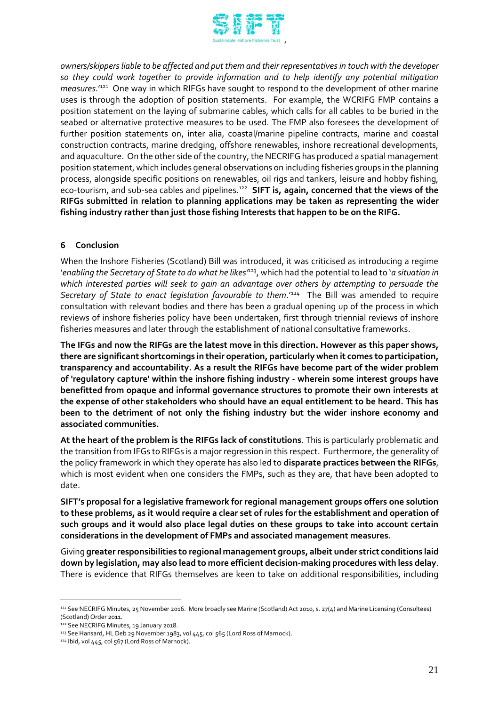

*owners/skippers liable to be affected and put them and their representatives in touch with the developer so they could work together to provide information and to help identify any potential mitigation*  measures.<sup>1221</sup> One way in which RIFGs have sought to respond to the development of other marine uses is through the adoption of position statements. For example, the WCRIFG FMP contains a position statement on the laying of submarine cables, which calls for all cables to be buried in the seabed or alternative protective measures to be used. The FMP also foresees the development of further position statements on, inter alia, coastal/marine pipeline contracts, marine and coastal construction contracts, marine dredging, offshore renewables, inshore recreational developments, and aquaculture. On the other side of the country, the NECRIFG has produced a spatial management position statement, which includes general observations on including fisheries groups in the planning process, alongside specific positions on renewables, oil rigs and tankers, leisure and hobby fishing, eco-tourism, and sub-sea cables and pipelines.<sup>122</sup> **SIFT is, again, concerned that the views of the RIFGs submitted in relation to planning applications may be taken as representing the wider fishing industry rather than just those fishing Interests that happen to be on the RIFG.**

# **6 Conclusion**

When the Inshore Fisheries (Scotland) Bill was introduced, it was criticised as introducing a regime '*enabling the Secretary of State to do what he likes'*<sup>123</sup>, which had the potential to lead to '*a situation in which interested parties will seek to gain an advantage over others by attempting to persuade the*  Secretary of State to enact legislation favourable to them.<sup>1124</sup> The Bill was amended to require consultation with relevant bodies and there has been a gradual opening up of the process in which reviews of inshore fisheries policy have been undertaken, first through triennial reviews of inshore fisheries measures and later through the establishment of national consultative frameworks.

**The IFGs and now the RIFGs are the latest move in this direction. However as this paper shows, there are significant shortcomings in their operation, particularly when it comes to participation, transparency and accountability. As a result the RIFGs have become part of the wider problem of 'regulatory capture' within the inshore fishing industry - wherein some interest groups have benefitted from opaque and informal governance structures to promote their own interests at the expense of other stakeholders who should have an equal entitlement to be heard. This has been to the detriment of not only the fishing industry but the wider inshore economy and associated communities.**

**At the heart of the problem is the RIFGs lack of constitutions**. This is particularly problematic and the transition from IFGs to RIFGs is a major regression in this respect. Furthermore, the generality of the policy framework in which they operate has also led to **disparate practices between the RIFGs**, which is most evident when one considers the FMPs, such as they are, that have been adopted to date.

**SIFT's proposal for a legislative framework for regional management groups offers one solution to these problems, as it would require a clear set of rules for the establishment and operation of such groups and it would also place legal duties on these groups to take into account certain considerations in the development of FMPs and associated management measures.** 

Giving **greater responsibilities to regional management groups, albeit under strict conditions laid down by legislation, may also lead to more efficient decision-making procedures with less delay**. There is evidence that RIFGs themselves are keen to take on additional responsibilities, including

<sup>121</sup> See NECRIFG Minutes, 25 November 2016. More broadly see Marine (Scotland) Act 2010, s. 27(4) and Marine Licensing (Consultees) (Scotland) Order 2011.

<sup>122</sup> See NECRIFG Minutes, 19 January 2018.

<sup>123</sup> See Hansard, HL Deb 29 November 1983, vol 445, col 565 (Lord Ross of Marnock).

<sup>&</sup>lt;sup>124</sup> Ibid, vol 445, col 567 (Lord Ross of Marnock).